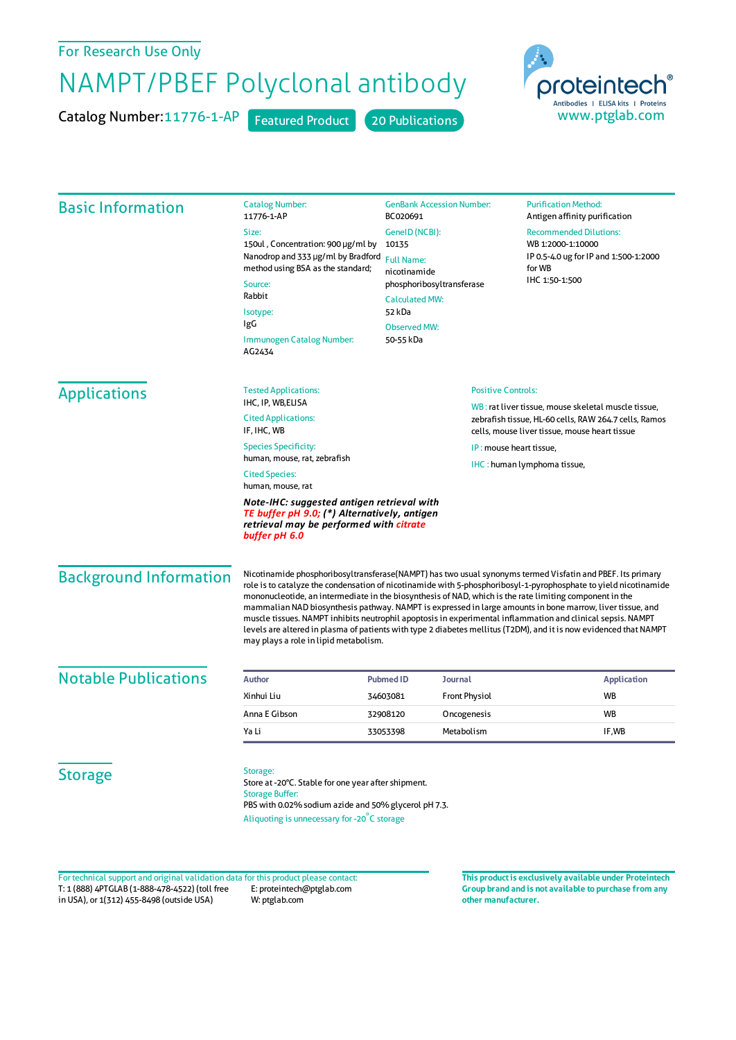## For Research Use Only

## NAMPT/PBEF Polyclonal antibody

Catalog Number:11776-1-AP Featured Product 20 Publications



| <b>Basic Information</b>      | <b>Catalog Number:</b><br>11776-1-AP                                                                                                                                                                                                                                                                                                                                                                                                                                                                                                                                                                                                                                                                                                | <b>GenBank Accession Number:</b><br>BC020691                                                                                                                     |                           | <b>Purification Method:</b><br>Antigen affinity purification                                                                                                  |  |
|-------------------------------|-------------------------------------------------------------------------------------------------------------------------------------------------------------------------------------------------------------------------------------------------------------------------------------------------------------------------------------------------------------------------------------------------------------------------------------------------------------------------------------------------------------------------------------------------------------------------------------------------------------------------------------------------------------------------------------------------------------------------------------|------------------------------------------------------------------------------------------------------------------------------------------------------------------|---------------------------|---------------------------------------------------------------------------------------------------------------------------------------------------------------|--|
|                               | Size:<br>150ul, Concentration: 900 µg/ml by<br>Nanodrop and 333 µg/ml by Bradford<br>method using BSA as the standard;<br>Source:<br>Rabbit                                                                                                                                                                                                                                                                                                                                                                                                                                                                                                                                                                                         | GenelD (NCBI):<br>10135<br><b>Full Name:</b><br>nicotinamide<br>phosphoribosyltransferase<br><b>Calculated MW:</b><br>52 kDa<br><b>Observed MW:</b><br>50-55 kDa |                           | <b>Recommended Dilutions:</b><br>WB 1:2000-1:10000<br>IP 0.5-4.0 ug for IP and 1:500-1:2000<br>for WB<br>IHC 1:50-1:500                                       |  |
|                               | Isotype:<br>IgG<br>Immunogen Catalog Number:<br>AG2434                                                                                                                                                                                                                                                                                                                                                                                                                                                                                                                                                                                                                                                                              |                                                                                                                                                                  |                           |                                                                                                                                                               |  |
| <b>Applications</b>           | <b>Tested Applications:</b>                                                                                                                                                                                                                                                                                                                                                                                                                                                                                                                                                                                                                                                                                                         |                                                                                                                                                                  | <b>Positive Controls:</b> |                                                                                                                                                               |  |
|                               | IHC, IP, WB,ELISA<br><b>Cited Applications:</b><br>IF, IHC, WB                                                                                                                                                                                                                                                                                                                                                                                                                                                                                                                                                                                                                                                                      |                                                                                                                                                                  |                           | WB: rat liver tissue, mouse skeletal muscle tissue,<br>zebrafish tissue, HL-60 cells, RAW 264.7 cells, Ramos<br>cells, mouse liver tissue, mouse heart tissue |  |
|                               | <b>Species Specificity:</b>                                                                                                                                                                                                                                                                                                                                                                                                                                                                                                                                                                                                                                                                                                         | IP: mouse heart tissue.                                                                                                                                          |                           |                                                                                                                                                               |  |
|                               | human, mouse, rat, zebrafish<br><b>Cited Species:</b><br>human, mouse, rat                                                                                                                                                                                                                                                                                                                                                                                                                                                                                                                                                                                                                                                          |                                                                                                                                                                  |                           | IHC: human lymphoma tissue,                                                                                                                                   |  |
|                               | Note-IHC: suggested antigen retrieval with<br>TE buffer pH 9.0; (*) Alternatively, antigen<br>retrieval may be performed with citrate<br>buffer pH 6.0                                                                                                                                                                                                                                                                                                                                                                                                                                                                                                                                                                              |                                                                                                                                                                  |                           |                                                                                                                                                               |  |
| <b>Background Information</b> | Nicotinamide phosphoribosyltransferase(NAMPT) has two usual synonyms termed Visfatin and PBEF. Its primary<br>role is to catalyze the condensation of nicotinamide with 5-phosphoribosyl-1-pyrophosphate to yield nicotinamide<br>mononucleotide, an intermediate in the biosynthesis of NAD, which is the rate limiting component in the<br>mammalian NAD biosynthesis pathway. NAMPT is expressed in large amounts in bone marrow, liver tissue, and<br>muscle tissues. NAMPT inhibits neutrophil apoptosis in experimental inflammation and clinical sepsis. NAMPT<br>levels are altered in plasma of patients with type 2 diabetes mellitus (T2DM), and it is now evidenced that NAMPT<br>may plays a role in lipid metabolism. |                                                                                                                                                                  |                           |                                                                                                                                                               |  |
| <b>Notable Publications</b>   | <b>Author</b>                                                                                                                                                                                                                                                                                                                                                                                                                                                                                                                                                                                                                                                                                                                       | <b>Pubmed ID</b>                                                                                                                                                 | <b>Journal</b>            | <b>Application</b>                                                                                                                                            |  |
|                               | Xinhui Liu                                                                                                                                                                                                                                                                                                                                                                                                                                                                                                                                                                                                                                                                                                                          | 34603081                                                                                                                                                         | <b>Front Physiol</b>      | <b>WB</b>                                                                                                                                                     |  |
|                               | Anna E Gibson                                                                                                                                                                                                                                                                                                                                                                                                                                                                                                                                                                                                                                                                                                                       | 32908120                                                                                                                                                         | Oncogenesis               | <b>WB</b>                                                                                                                                                     |  |
|                               | Ya Li                                                                                                                                                                                                                                                                                                                                                                                                                                                                                                                                                                                                                                                                                                                               | 33053398                                                                                                                                                         | Metabolism                | IF,WB                                                                                                                                                         |  |
| <b>Storage</b>                | Storage:<br>Store at -20°C. Stable for one year after shipment.<br><b>Storage Buffer:</b><br>PBS with 0.02% sodium azide and 50% glycerol pH 7.3.<br>Aliquoting is unnecessary for -20°C storage                                                                                                                                                                                                                                                                                                                                                                                                                                                                                                                                    |                                                                                                                                                                  |                           |                                                                                                                                                               |  |

T: 1 (888) 4PTGLAB (1-888-478-4522) (toll free in USA), or 1(312) 455-8498 (outside USA) E: proteintech@ptglab.com W: ptglab.com Fortechnical support and original validation data forthis product please contact: **This productis exclusively available under Proteintech**

**Group brand and is not available to purchase from any other manufacturer.**